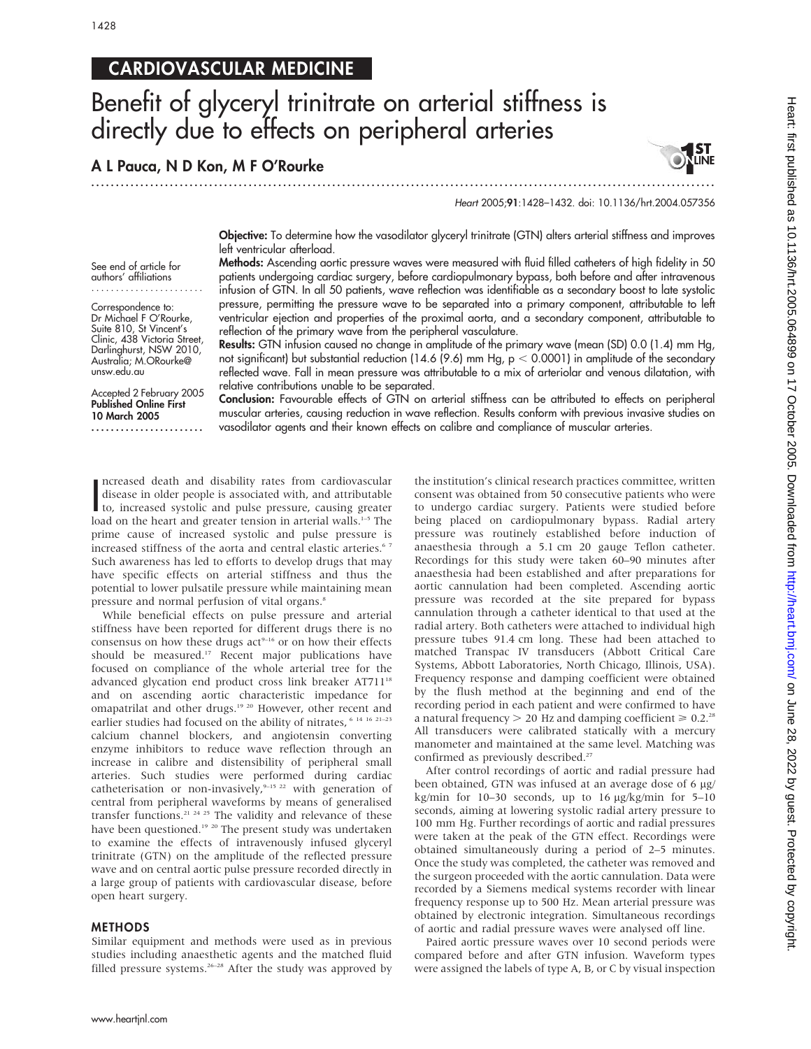# CARDIOVASCULAR MEDICINE

# Benefit of glyceryl trinitrate on arterial stiffness is directly due to effects on peripheral arteries

...............................................................................................................................

reflection of the primary wave from the peripheral vasculature.

A L Pauca, N D Kon, M F O'Rourke

Heart 2005;91:1428–1432. doi: 10.1136/hrt.2004.057356

Objective: To determine how the vasodilator glyceryl trinitrate (GTN) alters arterial stiffness and improves left ventricular afterload. Methods: Ascending aortic pressure waves were measured with fluid filled catheters of high fidelity in 50

patients undergoing cardiac surgery, before cardiopulmonary bypass, both before and after intravenous infusion of GTN. In all 50 patients, wave reflection was identifiable as a secondary boost to late systolic pressure, permitting the pressure wave to be separated into a primary component, attributable to left ventricular ejection and properties of the proximal aorta, and a secondary component, attributable to

See end of article for authors' affiliations .......................

Correspondence to: Dr Michael F O'Rourke, Suite 810, St Vincent's Clinic, 438 Victoria Street, Darlinghurst, NSW 2010, Australia; M.ORourke@ unsw.edu.au

Accepted 2 February 2005 Published Online First 10 March 2005

.......................

reflected wave. Fall in mean pressure was attributable to a mix of arteriolar and venous dilatation, with relative contributions unable to be separated. Conclusion: Favourable effects of GTN on arterial stiffness can be attributed to effects on peripheral muscular arteries, causing reduction in wave reflection. Results conform with previous invasive studies on vasodilator agents and their known effects on calibre and compliance of muscular arteries.

Results: GTN infusion caused no change in amplitude of the primary wave (mean (SD) 0.0 (1.4) mm Hg, not significant) but substantial reduction (14.6 (9.6) mm Hg,  $p < 0.0001$ ) in amplitude of the secondary

Increased death and disability rates from cardiovascular<br>disease in older people is associated with, and attributable<br>to, increased systolic and pulse pressure, causing greater<br>load on the beart and greater tonsion in exte ncreased death and disability rates from cardiovascular disease in older people is associated with, and attributable load on the heart and greater tension in arterial walls.<sup>1-5</sup> The prime cause of increased systolic and pulse pressure is increased stiffness of the aorta and central elastic arteries.<sup>67</sup> Such awareness has led to efforts to develop drugs that may have specific effects on arterial stiffness and thus the potential to lower pulsatile pressure while maintaining mean pressure and normal perfusion of vital organs.<sup>8</sup>

While beneficial effects on pulse pressure and arterial stiffness have been reported for different drugs there is no consensus on how these drugs  $act<sup>9-16</sup>$  or on how their effects should be measured.<sup>17</sup> Recent major publications have focused on compliance of the whole arterial tree for the advanced glycation end product cross link breaker  $AT711^{18}$ and on ascending aortic characteristic impedance for omapatrilat and other drugs.<sup>19 20</sup> However, other recent and earlier studies had focused on the ability of nitrates,  $6141621-23$ calcium channel blockers, and angiotensin converting enzyme inhibitors to reduce wave reflection through an increase in calibre and distensibility of peripheral small arteries. Such studies were performed during cardiac catheterisation or non-invasively,<sup>9-15 22</sup> with generation of central from peripheral waveforms by means of generalised transfer functions.<sup>21 24 25</sup> The validity and relevance of these have been questioned.<sup>19</sup> <sup>20</sup> The present study was undertaken to examine the effects of intravenously infused glyceryl trinitrate (GTN) on the amplitude of the reflected pressure wave and on central aortic pulse pressure recorded directly in a large group of patients with cardiovascular disease, before open heart surgery.

### METHODS

Similar equipment and methods were used as in previous studies including anaesthetic agents and the matched fluid filled pressure systems.<sup>26-28</sup> After the study was approved by the institution's clinical research practices committee, written consent was obtained from 50 consecutive patients who were to undergo cardiac surgery. Patients were studied before being placed on cardiopulmonary bypass. Radial artery pressure was routinely established before induction of anaesthesia through a 5.1 cm 20 gauge Teflon catheter. Recordings for this study were taken 60–90 minutes after anaesthesia had been established and after preparations for aortic cannulation had been completed. Ascending aortic pressure was recorded at the site prepared for bypass cannulation through a catheter identical to that used at the radial artery. Both catheters were attached to individual high pressure tubes 91.4 cm long. These had been attached to matched Transpac IV transducers (Abbott Critical Care Systems, Abbott Laboratories, North Chicago, Illinois, USA). Frequency response and damping coefficient were obtained by the flush method at the beginning and end of the recording period in each patient and were confirmed to have a natural frequency  $> 20$  Hz and damping coefficient  $\ge 0.2$ .<sup>28</sup> All transducers were calibrated statically with a mercury manometer and maintained at the same level. Matching was confirmed as previously described.<sup>27</sup>

After control recordings of aortic and radial pressure had been obtained, GTN was infused at an average dose of 6 µg/ kg/min for  $10-30$  seconds, up to  $16 \mu g/kg/min$  for  $5-10$ seconds, aiming at lowering systolic radial artery pressure to 100 mm Hg. Further recordings of aortic and radial pressures were taken at the peak of the GTN effect. Recordings were obtained simultaneously during a period of 2–5 minutes. Once the study was completed, the catheter was removed and the surgeon proceeded with the aortic cannulation. Data were recorded by a Siemens medical systems recorder with linear frequency response up to 500 Hz. Mean arterial pressure was obtained by electronic integration. Simultaneous recordings of aortic and radial pressure waves were analysed off line.

Paired aortic pressure waves over 10 second periods were compared before and after GTN infusion. Waveform types were assigned the labels of type A, B, or C by visual inspection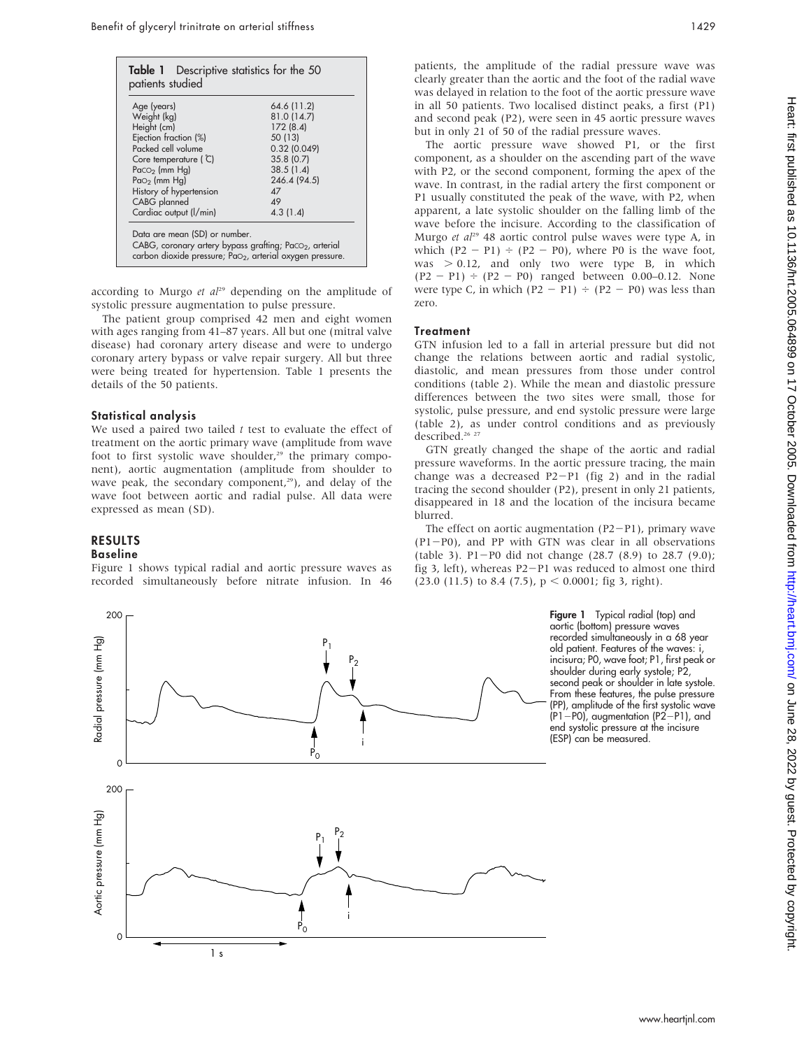| Age (years)             | 64.6 (11.2)  |
|-------------------------|--------------|
| Weight (kg)             | 81.0 (14.7)  |
| Height (cm)             | 172(8.4)     |
| Ejection fraction (%)   | 50 (13)      |
| Packed cell volume      | 0.32 (0.049) |
| Core temperature ( C)   | 35.8(0.7)    |
| $Paco2$ (mm Hg)         | 38.5(1.4)    |
| Pa $O2$ (mm Hg)         | 246.4 (94.5) |
| History of hypertension | $\Delta$ 7   |
| CABG planned            | 49           |
| Cardiac output (I/min)  | 4.3(1.4)     |

according to Murgo et  $al^{29}$  depending on the amplitude of systolic pressure augmentation to pulse pressure.

The patient group comprised 42 men and eight women with ages ranging from 41–87 years. All but one (mitral valve disease) had coronary artery disease and were to undergo coronary artery bypass or valve repair surgery. All but three were being treated for hypertension. Table 1 presents the details of the 50 patients.

#### Statistical analysis

We used a paired two tailed  $t$  test to evaluate the effect of treatment on the aortic primary wave (amplitude from wave foot to first systolic wave shoulder, $29$  the primary component), aortic augmentation (amplitude from shoulder to wave peak, the secondary component, $29$ ), and delay of the wave foot between aortic and radial pulse. All data were expressed as mean (SD).

# RESULTS

# Baseline

Figure 1 shows typical radial and aortic pressure waves as recorded simultaneously before nitrate infusion. In 46

patients, the amplitude of the radial pressure wave was clearly greater than the aortic and the foot of the radial wave was delayed in relation to the foot of the aortic pressure wave in all 50 patients. Two localised distinct peaks, a first (P1) and second peak (P2), were seen in 45 aortic pressure waves but in only 21 of 50 of the radial pressure waves.

The aortic pressure wave showed P1, or the first component, as a shoulder on the ascending part of the wave with P2, or the second component, forming the apex of the wave. In contrast, in the radial artery the first component or P1 usually constituted the peak of the wave, with P2, when apparent, a late systolic shoulder on the falling limb of the wave before the incisure. According to the classification of Murgo et  $al^{29}$  48 aortic control pulse waves were type A, in which  $(P2 - P1) \div (P2 - P0)$ , where P0 is the wave foot, was  $> 0.12$ , and only two were type B, in which  $(P2 - P1) \div (P2 - P0)$  ranged between 0.00–0.12. None were type C, in which  $(P2 - P1) \div (P2 - P0)$  was less than zero.

#### **Treatment**

GTN infusion led to a fall in arterial pressure but did not change the relations between aortic and radial systolic, diastolic, and mean pressures from those under control conditions (table 2). While the mean and diastolic pressure differences between the two sites were small, those for systolic, pulse pressure, and end systolic pressure were large (table 2), as under control conditions and as previously described.<sup>26</sup> <sup>27</sup>

GTN greatly changed the shape of the aortic and radial pressure waveforms. In the aortic pressure tracing, the main change was a decreased  $P2-P1$  (fig 2) and in the radial tracing the second shoulder (P2), present in only 21 patients, disappeared in 18 and the location of the incisura became blurred.

The effect on aortic augmentation  $(P2-P1)$ , primary wave  $(P1-P0)$ , and PP with GTN was clear in all observations (table 3). P1-P0 did not change  $(28.7 \ (8.9)$  to  $28.7 \ (9.0)$ ; fig 3, left), whereas  $P2-P1$  was reduced to almost one third (23.0 (11.5) to 8.4 (7.5),  $p < 0.0001$ ; fig 3, right).

> Figure 1 Typical radial (top) and aortic (bottom) pressure waves recorded simultaneously in a 68 year old patient. Features of the waves: i, incisura; P0, wave foot; P1, first peak or shoulder during early systole; P2, second peak or shoulder in late systole. From these features, the pulse pressure (PP), amplitude of the first systolic wave  $(P1-P0)$ , augmentation  $(P2-P1)$ , and end systolic pressure at the incisure (ESP) can be measured.

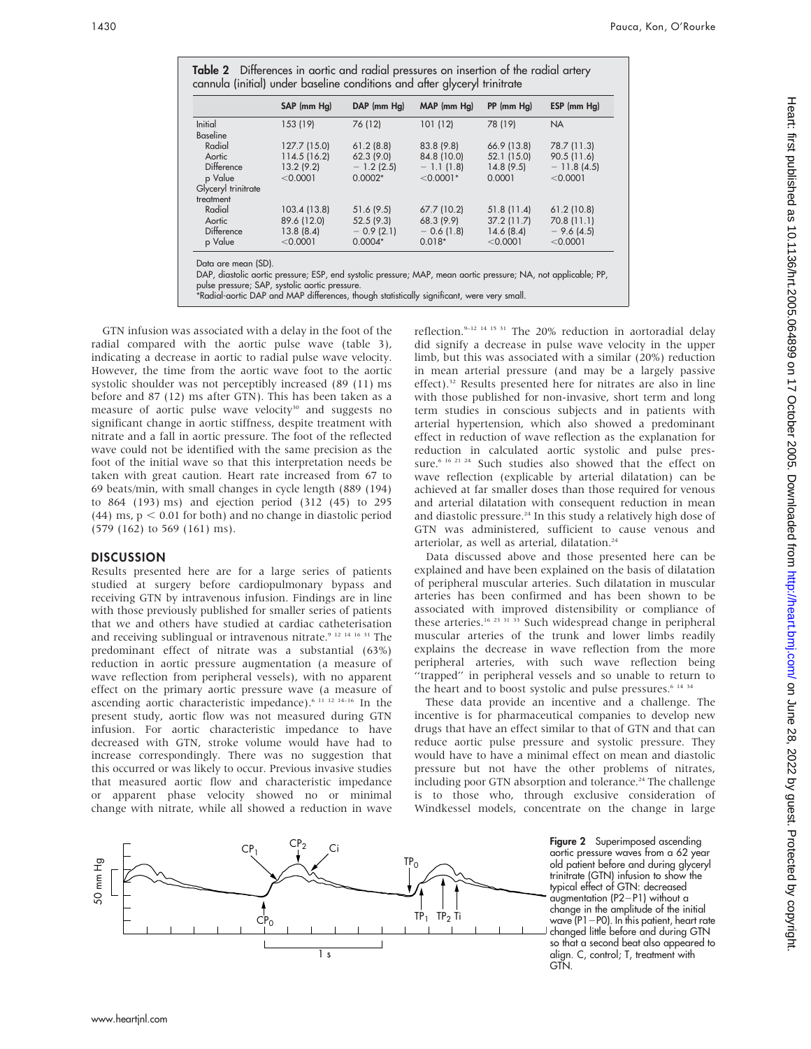|                     | SAP (mm Hg)  | DAP (mm Hg) | MAP (mm Hg) | $PP$ (mm $Hg$ ) | ESP (mm Hg)  |
|---------------------|--------------|-------------|-------------|-----------------|--------------|
| <b>Initial</b>      | 153 (19)     | 76 (12)     | 101(12)     | 78 (19)         | <b>NA</b>    |
| Baseline            |              |             |             |                 |              |
| Radial              | 127.7 (15.0) | 61.2(8.8)   | 83.8 (9.8)  | 66.9 (13.8)     | 78.7 (11.3)  |
| Aortic              | 114.5 (16.2) | 62.3(9.0)   | 84.8 (10.0) | 52.1 (15.0)     | 90.5(11.6)   |
| <b>Difference</b>   | 13.2(9.2)    | $-1.2(2.5)$ | $-1.1(1.8)$ | 14.8(9.5)       | $-11.8(4.5)$ |
| p Value             | < 0.0001     | $0.0002*$   | $< 0.0001*$ | 0.0001          | < 0.0001     |
| Glyceryl trinitrate |              |             |             |                 |              |
| treatment           |              |             |             |                 |              |
| Radial              | 103.4 (13.8) | 51.6 (9.5)  | 67.7 (10.2) | 51.8(11.4)      | 61.2(10.8)   |
| Aortic              | 89.6 (12.0)  | 52.5(9.3)   | 68.3 (9.9)  | 37.2(11.7)      | 70.8 (11.1)  |
| Difference          | 13.8(8.4)    | $-0.9(2.1)$ | $-0.6(1.8)$ | 14.6(8.4)       | $-9.6(4.5)$  |
| p Value             | < 0.0001     | $0.0004*$   | $0.018*$    | < 0.0001        | < 0.0001     |

GTN infusion was associated with a delay in the foot of the radial compared with the aortic pulse wave (table 3), indicating a decrease in aortic to radial pulse wave velocity. However, the time from the aortic wave foot to the aortic systolic shoulder was not perceptibly increased (89 (11) ms before and 87 (12) ms after GTN). This has been taken as a measure of aortic pulse wave velocity<sup>30</sup> and suggests no significant change in aortic stiffness, despite treatment with nitrate and a fall in aortic pressure. The foot of the reflected wave could not be identified with the same precision as the foot of the initial wave so that this interpretation needs be taken with great caution. Heart rate increased from 67 to 69 beats/min, with small changes in cycle length (889 (194) to 864 (193) ms) and ejection period (312 (45) to 295  $(44)$  ms,  $p < 0.01$  for both) and no change in diastolic period (579 (162) to 569 (161) ms).

#### DISCUSSION

Results presented here are for a large series of patients studied at surgery before cardiopulmonary bypass and receiving GTN by intravenous infusion. Findings are in line with those previously published for smaller series of patients that we and others have studied at cardiac catheterisation and receiving sublingual or intravenous nitrate.9 12 14 16 31 The predominant effect of nitrate was a substantial (63%) reduction in aortic pressure augmentation (a measure of wave reflection from peripheral vessels), with no apparent effect on the primary aortic pressure wave (a measure of ascending aortic characteristic impedance).6 11 12 14–16 In the present study, aortic flow was not measured during GTN infusion. For aortic characteristic impedance to have decreased with GTN, stroke volume would have had to increase correspondingly. There was no suggestion that this occurred or was likely to occur. Previous invasive studies that measured aortic flow and characteristic impedance or apparent phase velocity showed no or minimal change with nitrate, while all showed a reduction in wave

reflection.9–12 14 15 31 The 20% reduction in aortoradial delay did signify a decrease in pulse wave velocity in the upper limb, but this was associated with a similar (20%) reduction in mean arterial pressure (and may be a largely passive effect).<sup>32</sup> Results presented here for nitrates are also in line with those published for non-invasive, short term and long term studies in conscious subjects and in patients with arterial hypertension, which also showed a predominant effect in reduction of wave reflection as the explanation for reduction in calculated aortic systolic and pulse pressure.<sup>6 16 21 24</sup> Such studies also showed that the effect on wave reflection (explicable by arterial dilatation) can be achieved at far smaller doses than those required for venous and arterial dilatation with consequent reduction in mean and diastolic pressure.<sup>24</sup> In this study a relatively high dose of GTN was administered, sufficient to cause venous and arteriolar, as well as arterial, dilatation.<sup>24</sup>

Data discussed above and those presented here can be explained and have been explained on the basis of dilatation of peripheral muscular arteries. Such dilatation in muscular arteries has been confirmed and has been shown to be associated with improved distensibility or compliance of these arteries.<sup>16 23 31 33</sup> Such widespread change in peripheral muscular arteries of the trunk and lower limbs readily explains the decrease in wave reflection from the more peripheral arteries, with such wave reflection being ''trapped'' in peripheral vessels and so unable to return to the heart and to boost systolic and pulse pressures.<sup>6 14 34</sup>

These data provide an incentive and a challenge. The incentive is for pharmaceutical companies to develop new drugs that have an effect similar to that of GTN and that can reduce aortic pulse pressure and systolic pressure. They would have to have a minimal effect on mean and diastolic pressure but not have the other problems of nitrates, including poor GTN absorption and tolerance.<sup>24</sup> The challenge is to those who, through exclusive consideration of Windkessel models, concentrate on the change in large

> **Figure 2** Superimposed ascending aortic pressure waves from a 62 year old patient before and during glyceryl trinitrate (GTN) infusion to show the typical effect of GTN: decreased  $augmentation (P2-P1) without a$ change in the amplitude of the initial wave (P1 $-$ P0). In this patient, heart rate changed little before and during GTN so that a second beat also appeared to align. C, control; T, treatment with GTN.

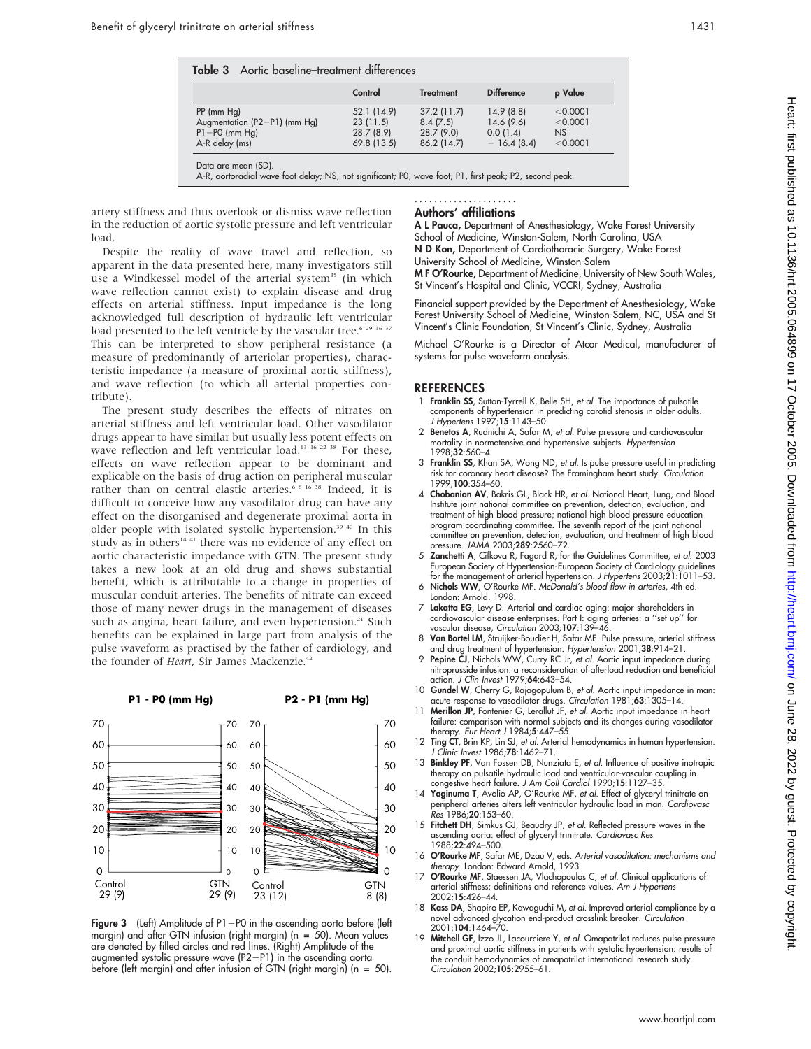|                              | Control     | <b>Treatment</b> | <b>Difference</b> | p Value  |
|------------------------------|-------------|------------------|-------------------|----------|
| $PP$ (mm $Hg$ )              | 52.1 (14.9) | 37.2(11.7)       | 14.9(8.8)         | < 0.0001 |
| Augmentation (P2-P1) (mm Hg) | 23(11.5)    | 8.4(7.5)         | 14.6(9.6)         | < 0.0001 |
| $P1 - P0$ (mm Hg)            | 28.7 (8.9)  | 28.7(9.0)        | 0.0(1.4)          | NS       |
| A-R delay (ms)               | 69.8 (13.5) | 86.2 (14.7)      | $-16.4(8.4)$      | < 0.0001 |

artery stiffness and thus overlook or dismiss wave reflection in the reduction of aortic systolic pressure and left ventricular load.

Despite the reality of wave travel and reflection, so apparent in the data presented here, many investigators still use a Windkessel model of the arterial system<sup>35</sup> (in which wave reflection cannot exist) to explain disease and drug effects on arterial stiffness. Input impedance is the long acknowledged full description of hydraulic left ventricular load presented to the left ventricle by the vascular tree.<sup>6 29 36</sup> 37 This can be interpreted to show peripheral resistance (a measure of predominantly of arteriolar properties), characteristic impedance (a measure of proximal aortic stiffness), and wave reflection (to which all arterial properties contribute).

The present study describes the effects of nitrates on arterial stiffness and left ventricular load. Other vasodilator drugs appear to have similar but usually less potent effects on wave reflection and left ventricular load.<sup>13 16</sup> <sup>22</sup> <sup>38</sup> For these, effects on wave reflection appear to be dominant and explicable on the basis of drug action on peripheral muscular rather than on central elastic arteries.<sup>6 8 16 38</sup> Indeed, it is difficult to conceive how any vasodilator drug can have any effect on the disorganised and degenerate proximal aorta in older people with isolated systolic hypertension.<sup>39 40</sup> In this study as in others<sup>14 41</sup> there was no evidence of any effect on aortic characteristic impedance with GTN. The present study takes a new look at an old drug and shows substantial benefit, which is attributable to a change in properties of muscular conduit arteries. The benefits of nitrate can exceed those of many newer drugs in the management of diseases such as angina, heart failure, and even hypertension.<sup>21</sup> Such benefits can be explained in large part from analysis of the pulse waveform as practised by the father of cardiology, and the founder of Heart, Sir James Mackenzie.<sup>42</sup>

#### **P1 - P0 (mm Hg)**

# **P2 - P1 (mm Hg)**



Figure 3 (Left) Amplitude of P1-P0 in the ascending aorta before (left margin) and after GTN infusion (right margin) (n = 50). Mean values are denoted by filled circles and red lines. (Right) Amplitude of the augmented systolic pressure wave  $(P2-P1)$  in the ascending aorta before (left margin) and after infusion of GTN (right margin) (n = 50).

#### Authors' affiliations .....................

A L Pauca, Department of Anesthesiology, Wake Forest University School of Medicine, Winston-Salem, North Carolina, USA N D Kon, Department of Cardiothoracic Surgery, Wake Forest University School of Medicine, Winston-Salem M F O'Rourke, Department of Medicine, University of New South Wales, St Vincent's Hospital and Clinic, VCCRI, Sydney, Australia

Financial support provided by the Department of Anesthesiology, Wake Forest University School of Medicine, Winston-Salem, NC, USA and St Vincent's Clinic Foundation, St Vincent's Clinic, Sydney, Australia

Michael O'Rourke is a Director of Atcor Medical, manufacturer of systems for pulse waveform analysis.

#### **REFERENCES**

- 1 Franklin SS, Sutton-Tyrrell K, Belle SH, et al. The importance of pulsatile components of hypertension in predicting carotid stenosis in older adults. J Hypertens 1997;15:1143–50.
- 2 Benetos A, Rudnichi A, Safar M, et al. Pulse pressure and cardiovascular mortality in normotensive and hypertensive subjects. Hypertension 1998;32:560–4.
- 3 Franklin SS, Khan SA, Wong ND, et al. Is pulse pressure useful in predicting risk for coronary heart disease? The Framingham heart study. Circulation 1999;100:354–60.
- 4 Chobanian AV, Bakris GL, Black HR, et al. National Heart, Lung, and Blood Institute joint national committee on prevention, detection, evaluation, and treatment of high blood pressure; national high blood pressure education program coordinating committee. The seventh report of the joint national committee on prevention, detection, evaluation, and treatment of high blood pressure. JAMA 2003;289:2560–72.
- 5 Zanchetti A, Cifkova R, Fagard R, for the Guidelines Committee, et al. 2003 European Society of Hypertension-European Society of Cardiology guidelines for the management of arterial hypertension. J Hypertens 2003;21:1011–53.
- 6 Nichols WW, O'Rourke MF. McDonald's blood flow in arteries, 4th ed. London: Arnold, 1998.
- 7 Lakatta EG, Levy D. Arterial and cardiac aging: major shareholders in cardiovascular disease enterprises. Part I: aging arteries: a ''set up'' for vascular disease, Circulation 2003;107:139–46.
- 8 Van Bortel LM, Struijker-Boudier H, Safar ME. Pulse pressure, arterial stiffness and drug treatment of hypertension. Hypertension 2001;38:914–21.
- 9 Pepine CJ, Nichols WW, Curry RC Jr, et al. Aortic input impedance during nitroprusside infusion: a reconsideration of afterload reduction and beneficial action. *J Clin Invest* 1979;**64**:643–54
- 10 Gundel W, Cherry G, Rajagopulum B, et al. Aortic input impedance in man: acute response to vasodilator drugs. Circulation 1981;63:1305–14.<br>11 Merillon JP, Fontenier G, Lerallut JF, et al. Aortic input impedance in heart
- failure: comparison with normal subjects and its changes during vasodilator therapy. Eur Heart J 1984;5:447–55.
- 12 Ting CT, Brin KP, Lin SJ, et al. Arterial hemodynamics in human hypertension. J Clinic Invest 1986;78:1462–71.
- 13 Binkley PF, Van Fossen DB, Nunziata E, et al. Influence of positive inotropic therapy on pulsatile hydraulic load and ventricular-vascular coupling in congestive heart failure. J Am Coll Cardiol 1990;15:1127–35.
- 14 Yaginuma T, Avolio AP, O'Rourke MF, et al. Effect of glyceryl trinitrate on peripheral arteries alters left ventricular hydraulic load in man. Cardiovasc Res 1986;20:153–60.
- 15 Fitchett DH, Simkus GJ, Beaudry JP, et al. Reflected pressure waves in the ascending aorta: effect of glyceryl trinitrate. Cardiovasc Res 1988;22:494–500.
- 16 O'Rourke MF, Safar ME, Dzau V, eds. Arterial vasodilation: mechanisms and therapy. London: Edward Arnold, 1993.
- 17 O'Rourke MF, Staessen JA, Vlachopoulos C, et al. Clinical applications of arterial stiffness; definitions and reference values. Am J Hypertens 2002;15:426–44.
- 18 Kass DA, Shapiro EP, Kawaguchi M, et al. Improved arterial compliance by a novel advanced glycation end-product crosslink breaker. Circulation 2001;104:1464–70.
- 19 Mitchell GF, Izzo JL, Lacourciere Y, et al. Omapatrilat reduces pulse pressure and proximal aortic stiffness in patients with systolic hypertension: results of the conduit hemodynamics of omapatrilat international research study. Circulation 2002;105:2955–61.